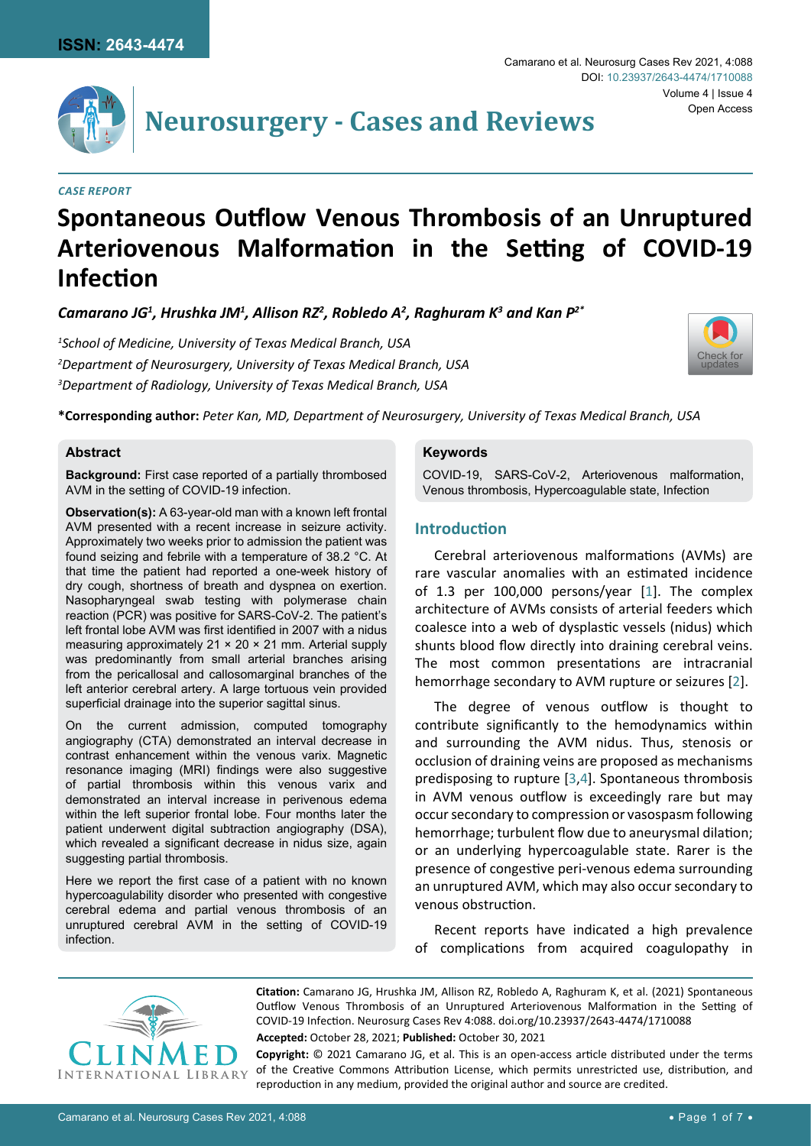

Camarano et al. Neurosurg Cases Rev 2021, 4:088

# **Neurosurgery - Cases and Reviews**

#### *Case Report*

## **Spontaneous Outflow Venous Thrombosis of an Unruptured Arteriovenous Malformation in the Setting of COVID-19 Infection**

*Camarano JG1 , Hrushka JM1 , Allison RZ2 , Robledo A2 , Raghuram K3 and Kan P2\**

*1 School of Medicine, University of Texas Medical Branch, USA 2 Department of Neurosurgery, University of Texas Medical Branch, USA 3 Department of Radiology, University of Texas Medical Branch, USA*



**\*Corresponding author:** *Peter Kan, MD, Department of Neurosurgery, University of Texas Medical Branch, USA*

#### **Abstract**

**Background:** First case reported of a partially thrombosed AVM in the setting of COVID-19 infection.

**Observation(s):** A 63-year-old man with a known left frontal AVM presented with a recent increase in seizure activity. Approximately two weeks prior to admission the patient was found seizing and febrile with a temperature of 38.2 °C. At that time the patient had reported a one-week history of dry cough, shortness of breath and dyspnea on exertion. Nasopharyngeal swab testing with polymerase chain reaction (PCR) was positive for SARS-CoV-2. The patient's left frontal lobe AVM was first identified in 2007 with a nidus measuring approximately 21 × 20 × 21 mm. Arterial supply was predominantly from small arterial branches arising from the pericallosal and callosomarginal branches of the left anterior cerebral artery. A large tortuous vein provided superficial drainage into the superior sagittal sinus.

On the current admission, computed tomography angiography (CTA) demonstrated an interval decrease in contrast enhancement within the venous varix. Magnetic resonance imaging (MRI) findings were also suggestive of partial thrombosis within this venous varix and demonstrated an interval increase in perivenous edema within the left superior frontal lobe. Four months later the patient underwent digital subtraction angiography (DSA), which revealed a significant decrease in nidus size, again suggesting partial thrombosis.

Here we report the first case of a patient with no known hypercoagulability disorder who presented with congestive cerebral edema and partial venous thrombosis of an unruptured cerebral AVM in the setting of COVID-19 infection.

#### **Keywords**

COVID-19, SARS-CoV-2, Arteriovenous malformation, Venous thrombosis, Hypercoagulable state, Infection

### **Introduction**

Cerebral arteriovenous malformations (AVMs) are rare vascular anomalies with an estimated incidence of 1.3 per 100,000 persons/year [[1](#page-5-0)]. The complex architecture of AVMs consists of arterial feeders which coalesce into a web of dysplastic vessels (nidus) which shunts blood flow directly into draining cerebral veins. The most common presentations are intracranial hemorrhage secondary to AVM rupture or seizures [[2](#page-5-1)].

The degree of venous outflow is thought to contribute significantly to the hemodynamics within and surrounding the AVM nidus. Thus, stenosis or occlusion of draining veins are proposed as mechanisms predisposing to rupture [[3](#page-5-2),[4](#page-5-3)]. Spontaneous thrombosis in AVM venous outflow is exceedingly rare but may occur secondary to compression or vasospasm following hemorrhage; turbulent flow due to aneurysmal dilation; or an underlying hypercoagulable state. Rarer is the presence of congestive peri-venous edema surrounding an unruptured AVM, which may also occur secondary to venous obstruction.

Recent reports have indicated a high prevalence of complications from acquired coagulopathy in



**Citation:** Camarano JG, Hrushka JM, Allison RZ, Robledo A, Raghuram K, et al. (2021) Spontaneous Outflow Venous Thrombosis of an Unruptured Arteriovenous Malformation in the Setting of COVID-19 Infection. Neurosurg Cases Rev 4:088. [doi.org/10.23937/2643-4474/1710088](https://doi.org/10.23937/2643-4474/1710088)

**Accepted:** October 28, 2021; **Published:** October 30, 2021

**Copyright:** © 2021 Camarano JG, et al. This is an open-access article distributed under the terms of the Creative Commons Attribution License, which permits unrestricted use, distribution, and reproduction in any medium, provided the original author and source are credited.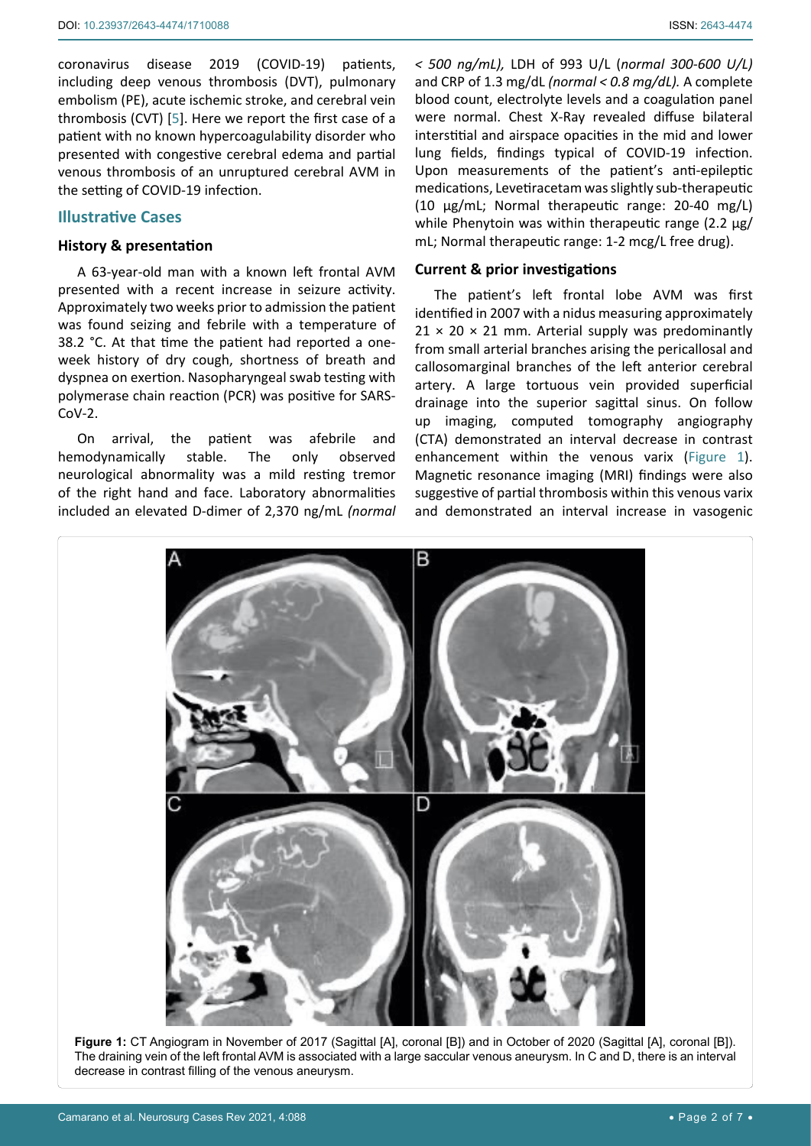coronavirus disease 2019 (COVID-19) patients, including deep venous thrombosis (DVT), pulmonary embolism (PE), acute ischemic stroke, and cerebral vein thrombosis (CVT) [[5](#page-5-4)]. Here we report the first case of a patient with no known hypercoagulability disorder who presented with congestive cerebral edema and partial venous thrombosis of an unruptured cerebral AVM in the setting of COVID-19 infection.

#### **Illustrative Cases**

#### **History & presentation**

A 63-year-old man with a known left frontal AVM presented with a recent increase in seizure activity. Approximately two weeks prior to admission the patient was found seizing and febrile with a temperature of 38.2 °C. At that time the patient had reported a oneweek history of dry cough, shortness of breath and dyspnea on exertion. Nasopharyngeal swab testing with polymerase chain reaction (PCR) was positive for SARS-CoV-2.

On arrival, the patient was afebrile and hemodynamically stable. The only observed neurological abnormality was a mild resting tremor of the right hand and face. Laboratory abnormalities included an elevated D-dimer of 2,370 ng/mL *(normal* 

*< 500 ng/mL),* LDH of 993 U/L (*normal 300-600 U/L)* and CRP of 1.3 mg/dL *(normal < 0.8 mg/dL).* A complete blood count, electrolyte levels and a coagulation panel were normal. Chest X-Ray revealed diffuse bilateral interstitial and airspace opacities in the mid and lower lung fields, findings typical of COVID-19 infection. Upon measurements of the patient's anti-epileptic medications, Levetiracetam was slightly sub-therapeutic (10 µg/mL; Normal therapeutic range: 20-40 mg/L) while Phenytoin was within therapeutic range (2.2 µg/ mL; Normal therapeutic range: 1-2 mcg/L free drug).

#### **Current & prior investigations**

The patient's left frontal lobe AVM was first identified in 2007 with a nidus measuring approximately  $21 \times 20 \times 21$  mm. Arterial supply was predominantly from small arterial branches arising the pericallosal and callosomarginal branches of the left anterior cerebral artery. A large tortuous vein provided superficial drainage into the superior sagittal sinus. On follow up imaging, computed tomography angiography (CTA) demonstrated an interval decrease in contrast enhancement within the venous varix ([Figure 1\)](#page-1-0). Magnetic resonance imaging (MRI) findings were also suggestive of partial thrombosis within this venous varix and demonstrated an interval increase in vasogenic

<span id="page-1-0"></span>

**Figure 1:** CT Angiogram in November of 2017 (Sagittal [A], coronal [B]) and in October of 2020 (Sagittal [A], coronal [B]). The draining vein of the left frontal AVM is associated with a large saccular venous aneurysm. In C and D, there is an interval decrease in contrast filling of the venous aneurysm.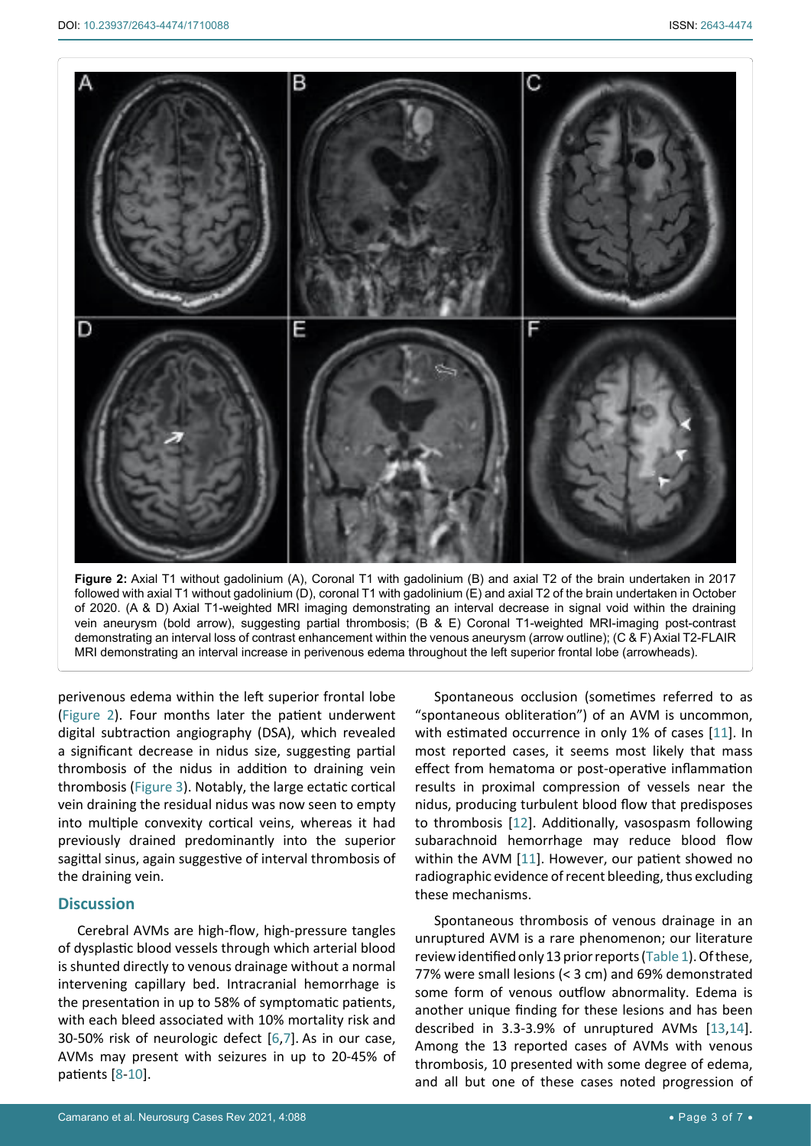<span id="page-2-0"></span>

**Figure 2:** Axial T1 without gadolinium (A), Coronal T1 with gadolinium (B) and axial T2 of the brain undertaken in 2017 followed with axial T1 without gadolinium (D), coronal T1 with gadolinium (E) and axial T2 of the brain undertaken in October of 2020. (A & D) Axial T1-weighted MRI imaging demonstrating an interval decrease in signal void within the draining vein aneurysm (bold arrow), suggesting partial thrombosis; (B & E) Coronal T1-weighted MRI-imaging post-contrast demonstrating an interval loss of contrast enhancement within the venous aneurysm (arrow outline); (C & F) Axial T2-FLAIR MRI demonstrating an interval increase in perivenous edema throughout the left superior frontal lobe (arrowheads).

perivenous edema within the left superior frontal lobe ([Figure 2](#page-2-0)). Four months later the patient underwent digital subtraction angiography (DSA), which revealed a significant decrease in nidus size, suggesting partial thrombosis of the nidus in addition to draining vein thrombosis ([Figure 3\)](#page-3-0). Notably, the large ectatic cortical vein draining the residual nidus was now seen to empty into multiple convexity cortical veins, whereas it had previously drained predominantly into the superior sagittal sinus, again suggestive of interval thrombosis of the draining vein.

#### **Discussion**

Cerebral AVMs are high-flow, high-pressure tangles of dysplastic blood vessels through which arterial blood is shunted directly to venous drainage without a normal intervening capillary bed. Intracranial hemorrhage is the presentation in up to 58% of symptomatic patients, with each bleed associated with 10% mortality risk and 30-50% risk of neurologic defect [[6](#page-5-9),[7](#page-5-10)]. As in our case, AVMs may present with seizures in up to 20-45% of patients [[8](#page-5-11)-[10\]](#page-5-12).

Spontaneous occlusion (sometimes referred to as "spontaneous obliteration") of an AVM is uncommon, with estimated occurrence in only 1% of cases [[11](#page-5-5)]. In most reported cases, it seems most likely that mass effect from hematoma or post-operative inflammation results in proximal compression of vessels near the nidus, producing turbulent blood flow that predisposes to thrombosis [[12](#page-5-6)]. Additionally, vasospasm following subarachnoid hemorrhage may reduce blood flow within the AVM [[11](#page-5-5)]. However, our patient showed no radiographic evidence of recent bleeding, thus excluding these mechanisms.

Spontaneous thrombosis of venous drainage in an unruptured AVM is a rare phenomenon; our literature review identified only 13 prior reports [\(Table 1\)](#page-4-0). Of these, 77% were small lesions (< 3 cm) and 69% demonstrated some form of venous outflow abnormality. Edema is another unique finding for these lesions and has been described in 3.3-3.9% of unruptured AVMs [[13](#page-5-7),[14](#page-5-8)]. Among the 13 reported cases of AVMs with venous thrombosis, 10 presented with some degree of edema, and all but one of these cases noted progression of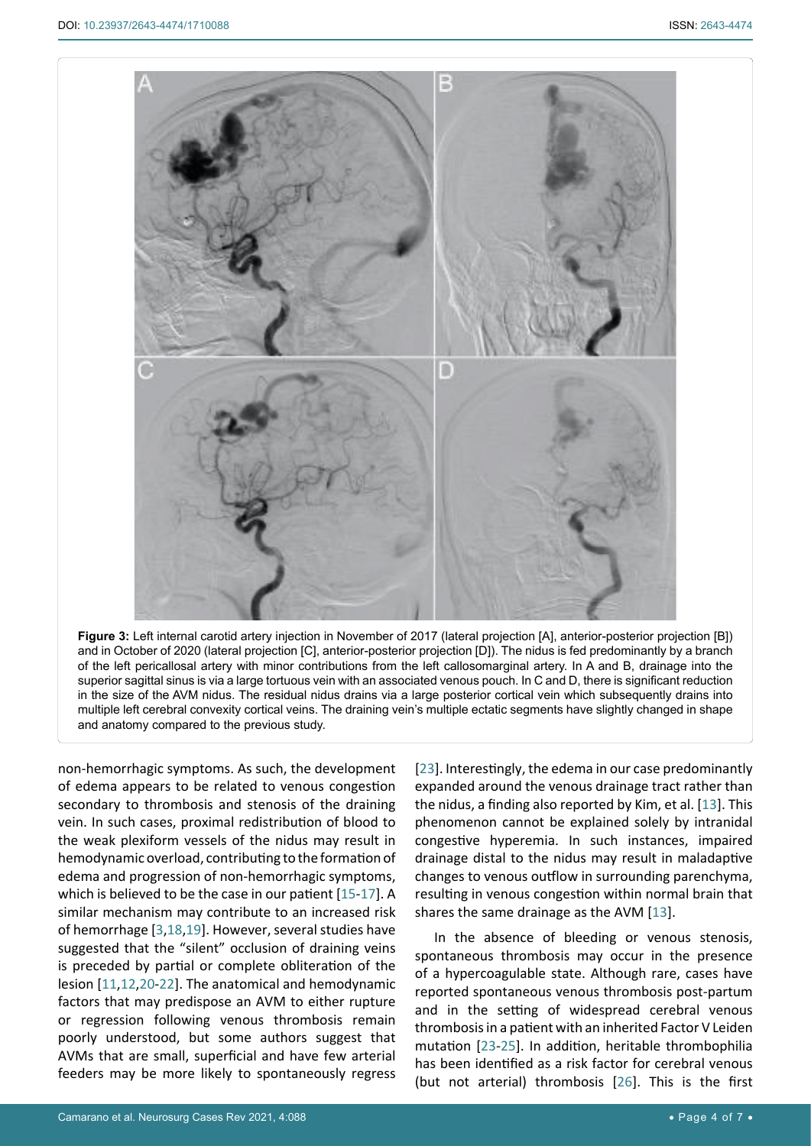<span id="page-3-0"></span>

**Figure 3:** Left internal carotid artery injection in November of 2017 (lateral projection [A], anterior-posterior projection [B]) and in October of 2020 (lateral projection [C], anterior-posterior projection [D]). The nidus is fed predominantly by a branch of the left pericallosal artery with minor contributions from the left callosomarginal artery. In A and B, drainage into the superior sagittal sinus is via a large tortuous vein with an associated venous pouch. In C and D, there is significant reduction in the size of the AVM nidus. The residual nidus drains via a large posterior cortical vein which subsequently drains into multiple left cerebral convexity cortical veins. The draining vein's multiple ectatic segments have slightly changed in shape and anatomy compared to the previous study.

non-hemorrhagic symptoms. As such, the development of edema appears to be related to venous congestion secondary to thrombosis and stenosis of the draining vein. In such cases, proximal redistribution of blood to the weak plexiform vessels of the nidus may result in hemodynamic overload, contributing to the formation of edema and progression of non-hemorrhagic symptoms, which is believed to be the case in our patient [[15](#page-5-14)-[17](#page-5-15)]. A similar mechanism may contribute to an increased risk of hemorrhage [\[3](#page-5-2),[18](#page-5-16),[19\]](#page-5-17). However, several studies have suggested that the "silent" occlusion of draining veins is preceded by partial or complete obliteration of the lesion [[11,](#page-5-5)[12](#page-5-6)[,20](#page-5-18)-[22](#page-5-19)]. The anatomical and hemodynamic factors that may predispose an AVM to either rupture or regression following venous thrombosis remain poorly understood, but some authors suggest that AVMs that are small, superficial and have few arterial feeders may be more likely to spontaneously regress

[\[23](#page-5-13)]. Interestingly, the edema in our case predominantly expanded around the venous drainage tract rather than the nidus, a finding also reported by Kim, et al. [\[13](#page-5-7)]. This phenomenon cannot be explained solely by intranidal congestive hyperemia. In such instances, impaired drainage distal to the nidus may result in maladaptive changes to venous outflow in surrounding parenchyma, resulting in venous congestion within normal brain that shares the same drainage as the AVM [[13](#page-5-7)].

In the absence of bleeding or venous stenosis, spontaneous thrombosis may occur in the presence of a hypercoagulable state. Although rare, cases have reported spontaneous venous thrombosis post-partum and in the setting of widespread cerebral venous thrombosis in a patient with an inherited Factor V Leiden mutation [\[23](#page-5-13)-[25](#page-6-0)]. In addition, heritable thrombophilia has been identified as a risk factor for cerebral venous (but not arterial) thrombosis [\[26](#page-6-1)]. This is the first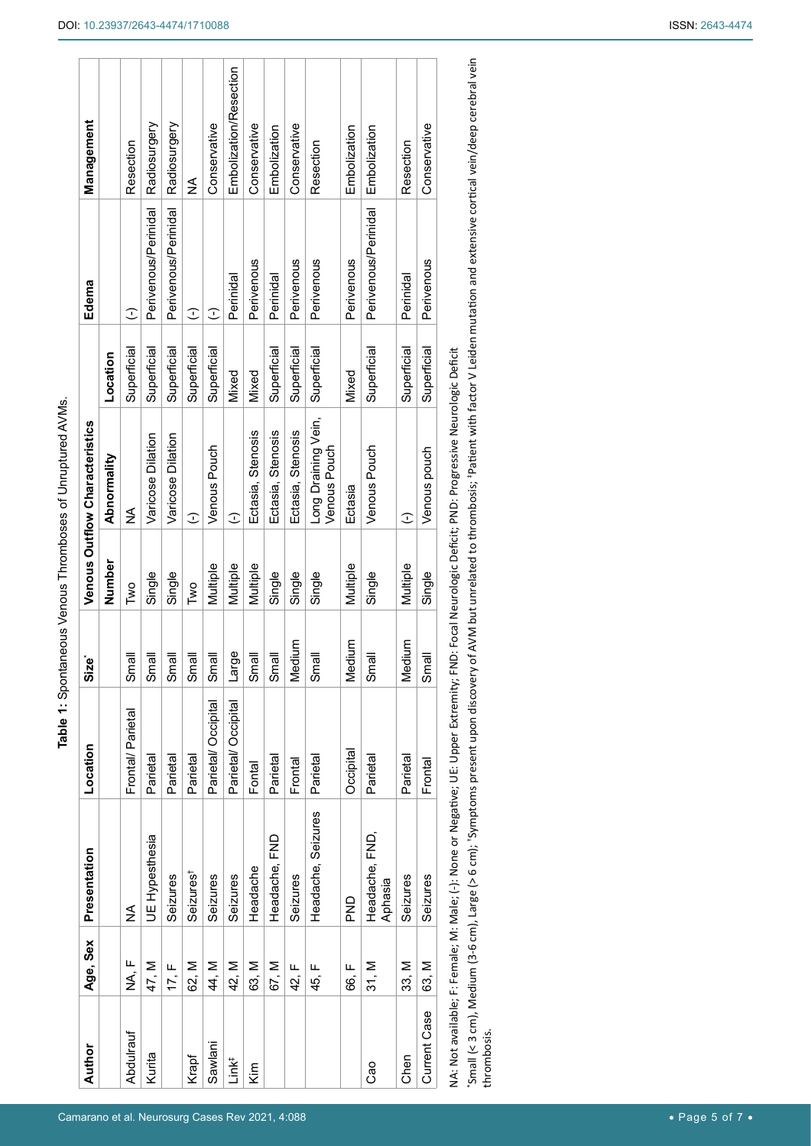| Author            | Age, Sex    | Presentation                                                                                         | Location           | Size*   |          | Venous Outflow Characteristics                                                                                                                                                                                                 |             | Edema                | Management             |
|-------------------|-------------|------------------------------------------------------------------------------------------------------|--------------------|---------|----------|--------------------------------------------------------------------------------------------------------------------------------------------------------------------------------------------------------------------------------|-------------|----------------------|------------------------|
|                   |             |                                                                                                      |                    |         | Number   | Abnormality                                                                                                                                                                                                                    | Location    |                      |                        |
| Abdulrauf         | ⊩<br>∢<br>Z | ≸                                                                                                    | Frontal/Parietal   | Small   | Two      | ≨                                                                                                                                                                                                                              | Superficial | $\widehat{\cdot}$    | Resection              |
| Kurita            | 47, M       | UE Hypesthesia                                                                                       | Parietal           | Small   | Single   | Varicose Dilation                                                                                                                                                                                                              | Superficial | Perivenous/Perinidal | Radiosurgery           |
|                   | 17, F       | Seizures                                                                                             | Parietal           | Small   | Single   | Varicose Dilation                                                                                                                                                                                                              | Superficial | Perivenous/Perinidal | Radiosurgery           |
| Krapf             | 62, M       | Seizures <sup>†</sup>                                                                                | Parietal           | Small   | Two      | $\widehat{\cdot}$                                                                                                                                                                                                              | Superficial | $\widehat{\cdot}$    | ≸                      |
| Sawlani           | 44, M       | Seizures                                                                                             | Parietal/Occipital | Small   | Multiple | Venous Pouch                                                                                                                                                                                                                   | Superficial | C                    | Conservative           |
| Link <sup>‡</sup> | 42, M       | Seizures                                                                                             | Parietal/Occipital | Large   | Multiple | $\widehat{\cdot}$                                                                                                                                                                                                              | Mixed       | Perinidal            | Embolization/Resection |
| Kim               | 63, M       | Headache                                                                                             | Fontal             | Small   | Multiple | Ectasia, Stenosis                                                                                                                                                                                                              | Mixed       | Perivenous           | Conservative           |
|                   | 67, M       | Headache, FND                                                                                        | Parietal           | Small   | Single   | Ectasia, Stenosis                                                                                                                                                                                                              | Superficial | Perinidal            | Embolization           |
|                   | щ<br>42,    | Seizures                                                                                             | Frontal            | Vledium | Single   | Ectasia, Stenosis                                                                                                                                                                                                              | Superficial | Perivenous           | Conservative           |
|                   | щ<br>45,    | Headache, Seizures                                                                                   | Parietal           | Small   | Single   | Long Draining Vein,<br>Venous Pouch                                                                                                                                                                                            | Superficial | Perivenous           | Resection              |
|                   | 66, F       | <b>DND</b>                                                                                           | Occipital          | Vledium | Multiple | Ectasia                                                                                                                                                                                                                        | Mixed       | Perivenous           | Embolization           |
| Cao               | 31, M       | Headache, FND,<br>Aphasia                                                                            | Parietal           | Small   | Single   | Venous Pouch                                                                                                                                                                                                                   | Superficial | Perivenous/Perinidal | Embolization           |
| Chen              | 33. M       | Seizures                                                                                             | Parietal           | Vledium | Multiple | $\widehat{\cdot}$                                                                                                                                                                                                              | Superficial | Perinidal            | Resection              |
| Current Case      | 63, M       | Seizures                                                                                             | Frontal            | Small   | Single   | Venous pouch                                                                                                                                                                                                                   | Superficial | Perivenous           | Conservative           |
|                   |             | vi Nata Salah Dari Eramahan Mahara Salam Mana Salah Manazarta Salah Dana Salah Manazarta Salah Manaz |                    |         |          | tion England Manual Catalogue Dance in 2010 income de la provincia de la provincia de la provincia de la provincia de la provincia de la provincia de la provincia de la provincia de la provincia de la provincia de la provi |             |                      |                        |

T

NA: Not available; F: Female; Male; Male; (-): None or Negative; UE: Upper Extremity; FND: Focal Neurologic Deficit; PND: Progressive Neurologic Deficit NA: Not available; F: Female; M: Male; (-): None or Negative; UE: Upper Extremity; FND: Focal Neurologic Deficit; PND: Progressive Neurologic Deficit

Small (< 3 cm), Medium (3-6 cm), Large (> 6 cm); 'Symptoms present upon discovery of AVM but unrelated to thrombosis; 'Patient with factor V Leiden mutation and extensive cortical vein/deep cerebral vein \*Small (< 3 cm), Medium (3-6 cm), Large (> 6 cm); †Symptoms present upon discovery of AVM but unrelated to thrombosis; ‡Patient with factor V Leiden mutation and extensive cortical vein/deep cerebral vein thrombosis. thrombosis.

<span id="page-4-0"></span>**Table 1:** Spontaneous Venous Thromboses of Unruptured AVMs.

Table 1: Spontaneous Venous Thromboses of Unruptured AVMs.

 $\sqrt{ }$ 

Camarano et al. Neurosurg Cases Rev 2021, 4:088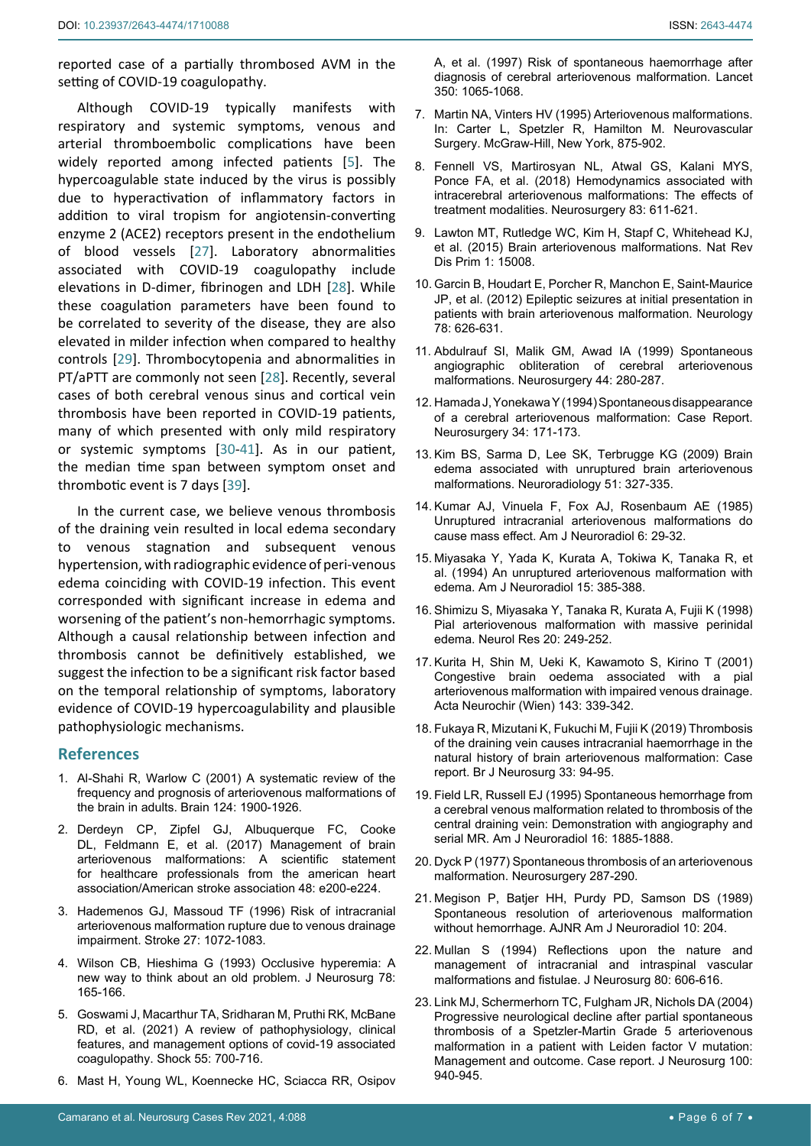reported case of a partially thrombosed AVM in the setting of COVID-19 coagulopathy.

Although COVID-19 typically manifests with respiratory and systemic symptoms, venous and arterial thromboembolic complications have been widely reported among infected patients [[5](#page-5-4)]. The hypercoagulable state induced by the virus is possibly due to hyperactivation of inflammatory factors in addition to viral tropism for angiotensin-converting enzyme 2 (ACE2) receptors present in the endothelium of blood vessels [[27\]](#page-6-2). Laboratory abnormalities associated with COVID-19 coagulopathy include elevations in D-dimer, fibrinogen and LDH [\[28](#page-6-3)]. While these coagulation parameters have been found to be correlated to severity of the disease, they are also elevated in milder infection when compared to healthy controls [\[29](#page-6-4)]. Thrombocytopenia and abnormalities in PT/aPTT are commonly not seen [[28\]](#page-6-3). Recently, several cases of both cerebral venous sinus and cortical vein thrombosis have been reported in COVID-19 patients, many of which presented with only mild respiratory or systemic symptoms [[30-](#page-6-5)[41](#page-6-6)]. As in our patient, the median time span between symptom onset and thrombotic event is 7 days [[39](#page-6-7)].

In the current case, we believe venous thrombosis of the draining vein resulted in local edema secondary to venous stagnation and subsequent venous hypertension, with radiographic evidence of peri-venous edema coinciding with COVID-19 infection. This event corresponded with significant increase in edema and worsening of the patient's non-hemorrhagic symptoms. Although a causal relationship between infection and thrombosis cannot be definitively established, we suggest the infection to be a significant risk factor based on the temporal relationship of symptoms, laboratory evidence of COVID-19 hypercoagulability and plausible pathophysiologic mechanisms.

#### **References**

- <span id="page-5-0"></span>1. [Al-Shahi R, Warlow C \(2001\) A systematic review of the](https://pubmed.ncbi.nlm.nih.gov/11571210/)  [frequency and prognosis of arteriovenous malformations of](https://pubmed.ncbi.nlm.nih.gov/11571210/)  [the brain in adults. Brain 124: 1900-1926.](https://pubmed.ncbi.nlm.nih.gov/11571210/)
- <span id="page-5-1"></span>2. [Derdeyn CP, Zipfel GJ, Albuquerque FC, Cooke](https://pubmed.ncbi.nlm.nih.gov/28642352/)  [DL, Feldmann E, et al. \(2017\) Management of brain](https://pubmed.ncbi.nlm.nih.gov/28642352/)  [arteriovenous malformations: A scientific statement](https://pubmed.ncbi.nlm.nih.gov/28642352/)  [for healthcare professionals from the american heart](https://pubmed.ncbi.nlm.nih.gov/28642352/)  [association/American stroke association 48: e200-e224.](https://pubmed.ncbi.nlm.nih.gov/28642352/)
- <span id="page-5-2"></span>3. [Hademenos GJ, Massoud TF \(1996\) Risk of intracranial](https://www.ahajournals.org/doi/full/10.1161/01.str.27.6.1072)  [arteriovenous malformation rupture due to venous drainage](https://www.ahajournals.org/doi/full/10.1161/01.str.27.6.1072)  [impairment. Stroke 27: 1072-1083.](https://www.ahajournals.org/doi/full/10.1161/01.str.27.6.1072)
- <span id="page-5-3"></span>4. [Wilson CB, Hieshima G \(1993\) Occlusive hyperemia: A](https://thejns.org/view/journals/j-neurosurg/78/2/article-p165.xml)  [new way to think about an old problem. J Neurosurg 78:](https://thejns.org/view/journals/j-neurosurg/78/2/article-p165.xml)  [165-166.](https://thejns.org/view/journals/j-neurosurg/78/2/article-p165.xml)
- <span id="page-5-4"></span>5. [Goswami J, Macarthur TA, Sridharan M, Pruthi RK, McBane](https://pubmed.ncbi.nlm.nih.gov/33378321/)  [RD, et al. \(2021\) A review of pathophysiology, clinical](https://pubmed.ncbi.nlm.nih.gov/33378321/)  [features, and management options of covid-19 associated](https://pubmed.ncbi.nlm.nih.gov/33378321/)  [coagulopathy. Shock 55: 700-716.](https://pubmed.ncbi.nlm.nih.gov/33378321/)
- <span id="page-5-9"></span>6. [Mast H, Young WL, Koennecke HC, Sciacca RR, Osipov](https://pubmed.ncbi.nlm.nih.gov/10213548/)

[A, et al. \(1997\) Risk of spontaneous haemorrhage after](https://pubmed.ncbi.nlm.nih.gov/10213548/)  [diagnosis of cerebral arteriovenous malformation. Lancet](https://pubmed.ncbi.nlm.nih.gov/10213548/)  [350: 1065-1068.](https://pubmed.ncbi.nlm.nih.gov/10213548/)

- <span id="page-5-10"></span>7. Martin NA, Vinters HV (1995) Arteriovenous malformations. In: Carter L, Spetzler R, Hamilton M. Neurovascular Surgery. McGraw-Hill, New York, 875-902.
- <span id="page-5-11"></span>8. [Fennell VS, Martirosyan NL, Atwal GS, Kalani MYS,](https://pubmed.ncbi.nlm.nih.gov/29267943/)  [Ponce FA, et al. \(2018\) Hemodynamics associated with](https://pubmed.ncbi.nlm.nih.gov/29267943/)  [intracerebral arteriovenous malformations: The effects of](https://pubmed.ncbi.nlm.nih.gov/29267943/)  [treatment modalities. Neurosurgery 83: 611-621.](https://pubmed.ncbi.nlm.nih.gov/29267943/)
- 9. [Lawton MT, Rutledge WC, Kim H, Stapf C, Whitehead KJ,](https://pubmed.ncbi.nlm.nih.gov/27188382/)  [et al. \(2015\) Brain arteriovenous malformations. Nat Rev](https://pubmed.ncbi.nlm.nih.gov/27188382/)  [Dis Prim 1: 15008.](https://pubmed.ncbi.nlm.nih.gov/27188382/)
- <span id="page-5-12"></span>10. [Garcin B, Houdart E, Porcher R, Manchon E, Saint-Maurice](https://pubmed.ncbi.nlm.nih.gov/22345217/)  [JP, et al. \(2012\) Epileptic seizures at initial presentation in](https://pubmed.ncbi.nlm.nih.gov/22345217/)  [patients with brain arteriovenous malformation. Neurology](https://pubmed.ncbi.nlm.nih.gov/22345217/)  [78: 626-631.](https://pubmed.ncbi.nlm.nih.gov/22345217/)
- <span id="page-5-5"></span>11. [Abdulrauf SI, Malik GM, Awad IA \(1999\) Spontaneous](https://pubmed.ncbi.nlm.nih.gov/9932881/)  [angiographic obliteration of cerebral arteriovenous](https://pubmed.ncbi.nlm.nih.gov/9932881/)  [malformations. Neurosurgery 44: 280-287.](https://pubmed.ncbi.nlm.nih.gov/9932881/)
- <span id="page-5-6"></span>12. [Hamada J, Yonekawa Y \(1994\) Spontaneous disappearance](https://pubmed.ncbi.nlm.nih.gov/8121555/)  [of a cerebral arteriovenous malformation: Case Report.](https://pubmed.ncbi.nlm.nih.gov/8121555/)  [Neurosurgery 34: 171-173.](https://pubmed.ncbi.nlm.nih.gov/8121555/)
- <span id="page-5-7"></span>13. [Kim BS, Sarma D, Lee SK, Terbrugge KG \(2009\) Brain](https://pubmed.ncbi.nlm.nih.gov/19219601/)  [edema associated with unruptured brain arteriovenous](https://pubmed.ncbi.nlm.nih.gov/19219601/)  [malformations. Neuroradiology 51: 327-335.](https://pubmed.ncbi.nlm.nih.gov/19219601/)
- <span id="page-5-8"></span>14. [Kumar AJ, Vinuela F, Fox AJ, Rosenbaum AE \(1985\)](https://pubmed.ncbi.nlm.nih.gov/3918417/)  [Unruptured intracranial arteriovenous malformations do](https://pubmed.ncbi.nlm.nih.gov/3918417/)  [cause mass effect. Am J Neuroradiol 6: 29-32.](https://pubmed.ncbi.nlm.nih.gov/3918417/)
- <span id="page-5-14"></span>15. [Miyasaka Y, Yada K, Kurata A, Tokiwa K, Tanaka R, et](https://pubmed.ncbi.nlm.nih.gov/8192089/)  [al. \(1994\) An unruptured arteriovenous malformation with](https://pubmed.ncbi.nlm.nih.gov/8192089/)  [edema. Am J Neuroradiol 15: 385-388.](https://pubmed.ncbi.nlm.nih.gov/8192089/)
- 16. [Shimizu S, Miyasaka Y, Tanaka R, Kurata A, Fujii K \(1998\)](https://pubmed.ncbi.nlm.nih.gov/9583587/)  [Pial arteriovenous malformation with massive perinidal](https://pubmed.ncbi.nlm.nih.gov/9583587/)  [edema. Neurol Res 20: 249-252.](https://pubmed.ncbi.nlm.nih.gov/9583587/)
- <span id="page-5-15"></span>17. [Kurita H, Shin M, Ueki K, Kawamoto S, Kirino T \(2001\)](https://pubmed.ncbi.nlm.nih.gov/11437286/)  [Congestive brain oedema associated with a pial](https://pubmed.ncbi.nlm.nih.gov/11437286/)  [arteriovenous malformation with impaired venous drainage.](https://pubmed.ncbi.nlm.nih.gov/11437286/)  [Acta Neurochir \(Wien\) 143: 339-342.](https://pubmed.ncbi.nlm.nih.gov/11437286/)
- <span id="page-5-16"></span>18. [Fukaya R, Mizutani K, Fukuchi M, Fujii K \(2019\) Thrombosis](https://pubmed.ncbi.nlm.nih.gov/28421824/)  [of the draining vein causes intracranial haemorrhage in the](https://pubmed.ncbi.nlm.nih.gov/28421824/)  [natural history of brain arteriovenous malformation: Case](https://pubmed.ncbi.nlm.nih.gov/28421824/)  [report. Br J Neurosurg 33: 94-95.](https://pubmed.ncbi.nlm.nih.gov/28421824/)
- <span id="page-5-17"></span>19. [Field LR, Russell EJ \(1995\) Spontaneous hemorrhage from](https://pubmed.ncbi.nlm.nih.gov/8693990/)  [a cerebral venous malformation related to thrombosis of the](https://pubmed.ncbi.nlm.nih.gov/8693990/)  [central draining vein: Demonstration with angiography and](https://pubmed.ncbi.nlm.nih.gov/8693990/)  [serial MR. Am J Neuroradiol 16: 1885-1888.](https://pubmed.ncbi.nlm.nih.gov/8693990/)
- <span id="page-5-18"></span>20. [Dyck P \(1977\) Spontaneous thrombosis of an arteriovenous](https://academic.oup.com/neurosurgery/article-abstract/1/3/287/2754882?redirectedFrom=fulltext)  [malformation. Neurosurgery 287-290.](https://academic.oup.com/neurosurgery/article-abstract/1/3/287/2754882?redirectedFrom=fulltext)
- 21. [Megison P, Batjer HH, Purdy PD, Samson DS \(1989\)](http://www.ajnr.org/content/10/1/204)  [Spontaneous resolution of arteriovenous malformation](http://www.ajnr.org/content/10/1/204)  [without hemorrhage. AJNR Am J Neuroradiol 10: 204.](http://www.ajnr.org/content/10/1/204)
- <span id="page-5-19"></span>22. [Mullan S \(1994\) Reflections upon the nature and](https://pubmed.ncbi.nlm.nih.gov/8151338/)  [management of intracranial and intraspinal vascular](https://pubmed.ncbi.nlm.nih.gov/8151338/)  [malformations and fistulae. J Neurosurg 80: 606-616.](https://pubmed.ncbi.nlm.nih.gov/8151338/)
- <span id="page-5-13"></span>23. [Link MJ, Schermerhorn TC, Fulgham JR, Nichols DA \(2004\)](https://pubmed.ncbi.nlm.nih.gov/15137613/)  [Progressive neurological decline after partial spontaneous](https://pubmed.ncbi.nlm.nih.gov/15137613/)  [thrombosis of a Spetzler-Martin Grade 5 arteriovenous](https://pubmed.ncbi.nlm.nih.gov/15137613/)  [malformation in a patient with Leiden factor V mutation:](https://pubmed.ncbi.nlm.nih.gov/15137613/)  [Management and outcome. Case report. J Neurosurg 100:](https://pubmed.ncbi.nlm.nih.gov/15137613/)  [940-945.](https://pubmed.ncbi.nlm.nih.gov/15137613/)